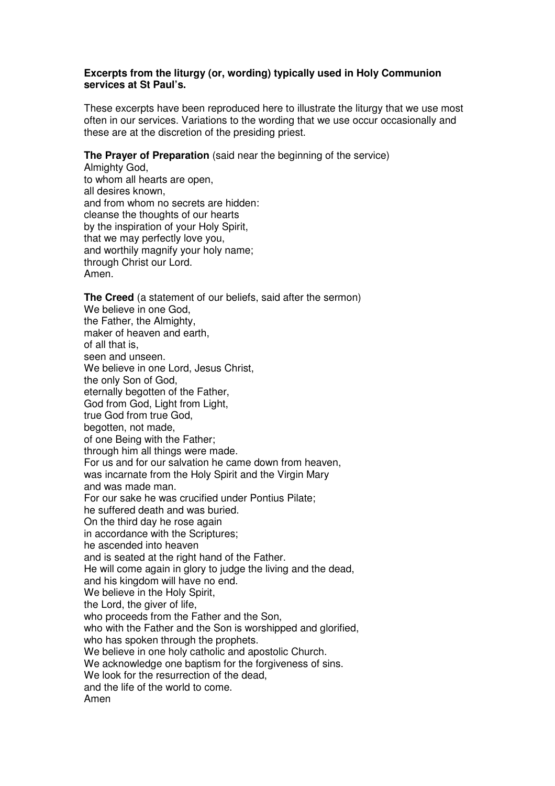## **Excerpts from the liturgy (or, wording) typically used in Holy Communion services at St Paul's.**

These excerpts have been reproduced here to illustrate the liturgy that we use most often in our services. Variations to the wording that we use occur occasionally and these are at the discretion of the presiding priest.

## **The Prayer of Preparation** (said near the beginning of the service)

Almighty God, to whom all hearts are open, all desires known, and from whom no secrets are hidden: cleanse the thoughts of our hearts by the inspiration of your Holy Spirit, that we may perfectly love you, and worthily magnify your holy name; through Christ our Lord. Amen.

**The Creed** (a statement of our beliefs, said after the sermon) We believe in one God, the Father, the Almighty, maker of heaven and earth, of all that is, seen and unseen. We believe in one Lord, Jesus Christ, the only Son of God, eternally begotten of the Father, God from God, Light from Light, true God from true God, begotten, not made, of one Being with the Father; through him all things were made. For us and for our salvation he came down from heaven, was incarnate from the Holy Spirit and the Virgin Mary and was made man. For our sake he was crucified under Pontius Pilate; he suffered death and was buried. On the third day he rose again in accordance with the Scriptures; he ascended into heaven and is seated at the right hand of the Father. He will come again in glory to judge the living and the dead, and his kingdom will have no end. We believe in the Holy Spirit, the Lord, the giver of life, who proceeds from the Father and the Son, who with the Father and the Son is worshipped and glorified, who has spoken through the prophets. We believe in one holy catholic and apostolic Church. We acknowledge one baptism for the forgiveness of sins. We look for the resurrection of the dead. and the life of the world to come. Amen